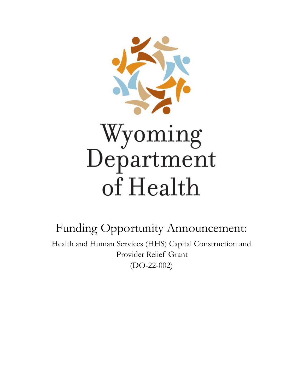

Funding Opportunity Announcement: Health and Human Services (HHS) Capital Construction and Provider Relief Grant (DO-22-002)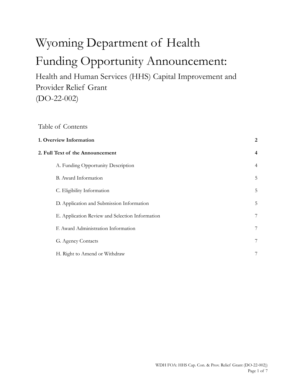# Wyoming Department of Health Funding Opportunity Announcement:

Health and Human Services (HHS) Capital Improvement and Provider Relief Grant (DO-22-002)

# Table of Contents

| 1. Overview Information<br>2                    |                |  |
|-------------------------------------------------|----------------|--|
| 2. Full Text of the Announcement                | $\overline{4}$ |  |
| A. Funding Opportunity Description              | $\overline{4}$ |  |
| B. Award Information                            | 5              |  |
| C. Eligibility Information                      | 5              |  |
| D. Application and Submission Information       | 5              |  |
| E. Application Review and Selection Information | 7              |  |
| F. Award Administration Information             | 7              |  |
| G. Agency Contacts                              | 7              |  |
| H. Right to Amend or Withdraw                   | 7              |  |
|                                                 |                |  |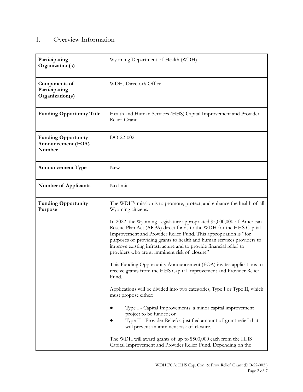# 1. Overview Information

| Participating<br>Organization(s)                           | Wyoming Department of Health (WDH)                                                                                                                                                                                                                                                                                                                                                                                |
|------------------------------------------------------------|-------------------------------------------------------------------------------------------------------------------------------------------------------------------------------------------------------------------------------------------------------------------------------------------------------------------------------------------------------------------------------------------------------------------|
| Components of<br>Participating<br>Organization(s)          | WDH, Director's Office                                                                                                                                                                                                                                                                                                                                                                                            |
| <b>Funding Opportunity Title</b>                           | Health and Human Services (HHS) Capital Improvement and Provider<br>Relief Grant                                                                                                                                                                                                                                                                                                                                  |
| <b>Funding Opportunity</b><br>Announcement (FOA)<br>Number | DO-22-002                                                                                                                                                                                                                                                                                                                                                                                                         |
| <b>Announcement Type</b>                                   | <b>New</b>                                                                                                                                                                                                                                                                                                                                                                                                        |
| <b>Number of Applicants</b>                                | No limit                                                                                                                                                                                                                                                                                                                                                                                                          |
| <b>Funding Opportunity</b><br>Purpose                      | The WDH's mission is to promote, protect, and enhance the health of all<br>Wyoming citizens.                                                                                                                                                                                                                                                                                                                      |
|                                                            | In 2022, the Wyoming Legislature appropriated \$5,000,000 of American<br>Rescue Plan Act (ARPA) direct funds to the WDH for the HHS Capital<br>Improvement and Provider Relief Fund. This appropriation is "for<br>purposes of providing grants to health and human services providers to<br>improve existing infrastructure and to provide financial relief to<br>providers who are at imminent risk of closure" |
|                                                            | This Funding Opportunity Announcement (FOA) invites applications to<br>receive grants from the HHS Capital Improvement and Provider Relief<br>Fund.                                                                                                                                                                                                                                                               |
|                                                            | Applications will be divided into two categories, Type I or Type II, which<br>must propose either:                                                                                                                                                                                                                                                                                                                |
|                                                            | Type I - Capital Improvements: a minor capital improvement<br>project to be funded; or<br>Type II - Provider Relief: a justified amount of grant relief that<br>will prevent an imminent risk of closure.                                                                                                                                                                                                         |
|                                                            | The WDH will award grants of up to \$500,000 each from the HHS<br>Capital Improvement and Provider Relief Fund. Depending on the                                                                                                                                                                                                                                                                                  |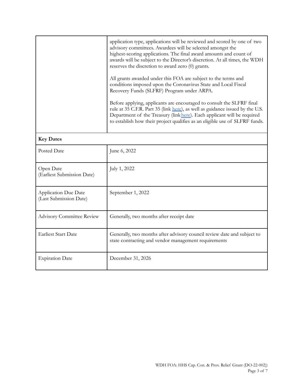|                                                       | application type, applications will be reviewed and scored by one of two<br>advisory committees. Awardees will be selected amongst the<br>highest-scoring applications. The final award amounts and count of<br>awards will be subject to the Director's discretion. At all times, the WDH<br>reserves the discretion to award zero (0) grants.<br>All grants awarded under this FOA are subject to the terms and<br>conditions imposed upon the Coronavirus State and Local Fiscal<br>Recovery Funds (SLFRF) Program under ARPA.<br>Before applying, applicants are encouraged to consult the SLFRF final<br>rule at 35 C.F.R. Part 35 (link here), as well as guidance issued by the U.S.<br>Department of the Treasury (link here). Each applicant will be required<br>to establish how their project qualifies as an eligible use of SLFRF funds. |  |
|-------------------------------------------------------|-------------------------------------------------------------------------------------------------------------------------------------------------------------------------------------------------------------------------------------------------------------------------------------------------------------------------------------------------------------------------------------------------------------------------------------------------------------------------------------------------------------------------------------------------------------------------------------------------------------------------------------------------------------------------------------------------------------------------------------------------------------------------------------------------------------------------------------------------------|--|
| <b>Key Dates</b>                                      |                                                                                                                                                                                                                                                                                                                                                                                                                                                                                                                                                                                                                                                                                                                                                                                                                                                       |  |
| Posted Date                                           | June 6, 2022                                                                                                                                                                                                                                                                                                                                                                                                                                                                                                                                                                                                                                                                                                                                                                                                                                          |  |
| Open Date<br>(Earliest Submission Date)               | July 1, 2022                                                                                                                                                                                                                                                                                                                                                                                                                                                                                                                                                                                                                                                                                                                                                                                                                                          |  |
| <b>Application Due Date</b><br>(Last Submission Date) | September 1, 2022                                                                                                                                                                                                                                                                                                                                                                                                                                                                                                                                                                                                                                                                                                                                                                                                                                     |  |
| <b>Advisory Committee Review</b>                      | Generally, two months after receipt date                                                                                                                                                                                                                                                                                                                                                                                                                                                                                                                                                                                                                                                                                                                                                                                                              |  |
| <b>Earliest Start Date</b>                            | Generally, two months after advisory council review date and subject to<br>state contracting and vendor management requirements                                                                                                                                                                                                                                                                                                                                                                                                                                                                                                                                                                                                                                                                                                                       |  |
| <b>Expiration Date</b>                                | December 31, 2026                                                                                                                                                                                                                                                                                                                                                                                                                                                                                                                                                                                                                                                                                                                                                                                                                                     |  |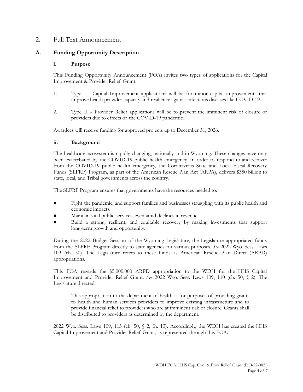#### 2. Full Text Announcement

#### **A. Funding Opportunity Description**

#### **i. Purpose**

This Funding Opportunity Announcement (FOA) invites two types of applications for the Capital Improvement & Provider Relief Grant.

- 1. Type I Capital Improvement applications will be for minor capital improvements that improve health provider capacity and resilience against infectious diseases like COVID-19.
- 2. Type II Provider Relief applications will be to prevent the imminent risk of closure of providers due to effects of the COVID-19 pandemic.

Awardees will receive funding for approved projects up to December 31, 2026.

#### **ii. Background**

The healthcare ecosystem is rapidly changing, nationally and in Wyoming. These changes have only been exacerbated by the COVID-19 public health emergency. In order to respond to and recover from the COVID-19 public health emergency, the Coronavirus State and Local Fiscal Recovery Funds (SLFRF) Program, as part of the American Rescue Plan Act (ARPA), delivers \$350 billion to state, local, and Tribal governments across the country.

The SLFRF Program ensures that governments have the resources needed to:

- Fight the pandemic, and support families and businesses struggling with its public health and economic impacts.
- Maintain vital public services, even amid declines in revenue.
- Build a strong, resilient, and equitable recovery by making investments that support long-term growth and opportunity.

During the 2022 Budget Session of the Wyoming Legislature, the Legislature appropriated funds from the SLFRF Program directly to state agencies for various purposes. *See* 2022 Wyo. Sess. Laws 109 (ch. 50). The Legislature refers to these funds as American Rescue Plan Direct (ARPD) appropriations.

This FOA regards the \$5,000,000 ARPD appropriation to the WDH for the HHS Capital Improvement and Provider Relief Grant. *See* 2022 Wyo. Sess. Laws 109, 110 (ch. 50, § 2). The Legislature directed:

This appropriation to the department of health is for purposes of providing grants to health and human services providers to improve existing infrastructure and to provide financial relief to providers who are at imminent risk of closure. Grants shall be distributed to providers as determined by the department.

2022 Wyo. Sess. Laws 109, 113 (ch. 50, § 2, fn. 13). Accordingly, the WDH has created the HHS Capital Improvement and Provider Relief Grant, as represented through this FOA.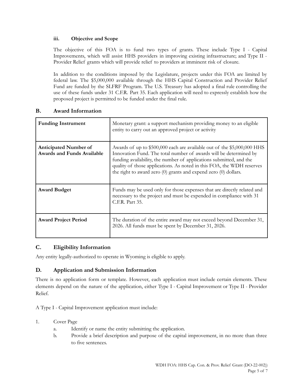#### **iii. Objective and Scope**

The objective of this FOA is to fund two types of grants. These include Type I - Capital Improvements, which will assist HHS providers in improving existing infrastructure; and Type II - Provider Relief grants which will provide relief to providers at imminent risk of closure.

In addition to the conditions imposed by the Legislature, projects under this FOA are limited by federal law. The \$5,000,000 available through the HHS Capital Construction and Provider Relief Fund are funded by the SLFRF Program. The U.S. Treasury has adopted a final rule controlling the use of these funds under 31 C.F.R. Part 35. Each application will need to expressly establish how the proposed project is permitted to be funded under the final rule.

| В. | <b>Award Information</b> |
|----|--------------------------|
|----|--------------------------|

| <b>Funding Instrument</b>                                         | Monetary grant: a support mechanism providing money to an eligible<br>entity to carry out an approved project or activity                                                                                                                                                                                                                                       |
|-------------------------------------------------------------------|-----------------------------------------------------------------------------------------------------------------------------------------------------------------------------------------------------------------------------------------------------------------------------------------------------------------------------------------------------------------|
| <b>Anticipated Number of</b><br><b>Awards and Funds Available</b> | Awards of up to \$500,000 each are available out of the \$5,000,000 HHS<br>Innovation Fund. The total number of awards will be determined by<br>funding availability, the number of applications submitted, and the<br>quality of those applications. As noted in this FOA, the WDH reserves<br>the right to award zero (0) grants and expend zero (0) dollars. |
| <b>Award Budget</b>                                               | Funds may be used only for those expenses that are directly related and<br>necessary to the project and must be expended in compliance with 31<br>C.F.R. Part 35.                                                                                                                                                                                               |
| <b>Award Project Period</b>                                       | The duration of the entire award may not exceed beyond December 31,<br>2026. All funds must be spent by December 31, 2026.                                                                                                                                                                                                                                      |

#### **C. Eligibility Information**

Any entity legally-authorized to operate in Wyoming is eligible to apply.

#### **D. Application and Submission Information**

There is no application form or template. However, each application must include certain elements. These elements depend on the nature of the application, either Type I - Capital Improvement or Type II - Provider Relief.

A Type I - Capital Improvement application must include:

#### 1. Cover Page

- a. Identify or name the entity submitting the application.
- b. Provide a brief description and purpose of the capital improvement, in no more than three to five sentences.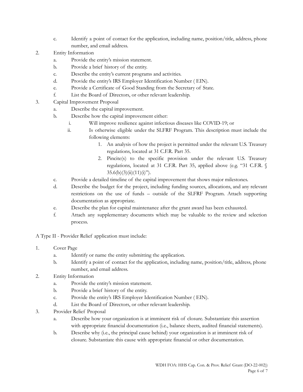- c. Identify a point of contact for the application, including name, position/title, address, phone number, and email address.
- 2. Entity Information
	- a. Provide the entity's mission statement.
	- b. Provide a brief history of the entity.
	- c. Describe the entity's current programs and activities.
	- d. Provide the entity's IRS Employer Identification Number ( EIN).
	- e. Provide a Certificate of Good Standing from the Secretary of State.
	- f. List the Board of Directors, or other relevant leadership.
- 3. Capital Improvement Proposal
	- a. Describe the capital improvement.
	- b. Describe how the capital improvement either:
		- i. Will improve resilience against infectious diseases like COVID-19; or
		- ii. Is otherwise eligible under the SLFRF Program. This description must include the following elements:
			- 1. An analysis of how the project is permitted under the relevant U.S. Treasury regulations, located at 31 C.F.R. Part 35.
			- 2. Pincite(s) to the specific provision under the relevant U.S. Treasury regulations, located at 31 C.F.R. Part 35, applied above (e.g. "31 C.F.R. §  $35.6(b)(3)(ii)(11)(i)$ ").
	- c. Provide a detailed timeline of the capital improvement that shows major milestones.
	- d. Describe the budget for the project, including funding sources, allocations, and any relevant restrictions on the use of funds – outside of the SLFRF Program. Attach supporting documentation as appropriate.
	- e. Describe the plan for capital maintenance after the grant award has been exhausted.
	- f. Attach any supplementary documents which may be valuable to the review and selection process.
- A Type II Provider Relief application must include:
- 1. Cover Page
	- a. Identify or name the entity submitting the application.
	- b. Identify a point of contact for the application, including name, position/title, address, phone number, and email address.
- 2. Entity Information
	- a. Provide the entity's mission statement.
	- b. Provide a brief history of the entity.
	- c. Provide the entity's IRS Employer Identification Number ( EIN).
	- d. List the Board of Directors, or other relevant leadership.
- 3. Provider Relief Proposal
	- a. Describe how your organization is at imminent risk of closure. Substantiate this assertion with appropriate financial documentation (i.e., balance sheets, audited financial statements).
	- b. Describe why (i.e., the principal cause behind) your organization is at imminent risk of closure. Substantiate this cause with appropriate financial or other documentation.